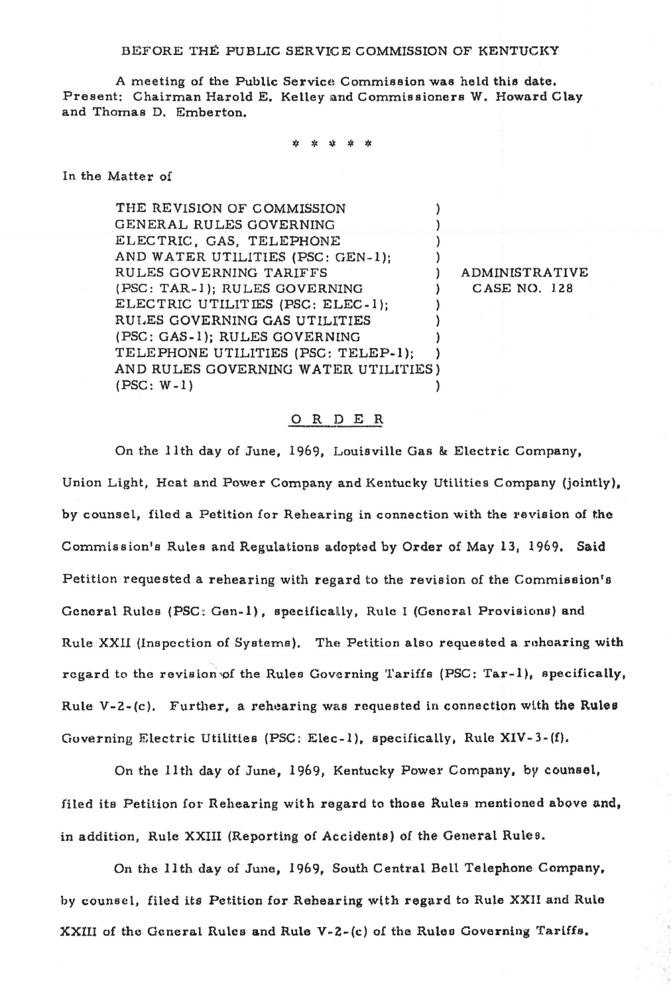BEFORE THE PUBLIC SERVICE COMMISSION OF KENTUCKY

A meeting of the Public Service Commission was held this date. Present: Chairman Harold E. Kelley and Commissioners W. Howard Clay and Thomas D. Emberton.

\* \* >J< \* \*

In the Matter of

THE REVISION OF COMMISSION  $\mathcal{E}$ GENERAL RULES GOVERNING  $\mathcal{E}$ ELECTRIC, GAS, TELEPHONE AND WATER UTILITIES (PSC: GEN-1); RULES GOVERNING TARIFFS (ADMINISTRATIVE (PSC: TAR-1); RULES GOVERNING ) CASE NO. 128 ELECTRIC UTILITIES (PSC: ELEC-1);  $\lambda$ RULES GOVERNING GAS UTILITIES (PSC: GAS~l); RULES GOVERNlNG TELEPHONE UTILITIES (PSC: TELEP·l); ) AND RULES GOVERNING WATER UTILITIES) (PSC: W-1) )

## 0 R DE R

On the 11th day of June, 1969, Louisville Gas & Electric Company, Union Light, Heat and Power Company and Kentucky Utilities Company (jointly), by counsel, filed a Petition for Rehearing in connection with the revision of the Commission's Rules and Regulations adopted by Order of May 13, 1969. Said Petition requested a rehearing with regard to the revision of the Commisoion's General Rules (PSC: Gen-1), specifically, Rule I (General Provisions) and Rule XXII (Inspection of Systems). The Petition also requested a rehearing with regard to the revision of the Rules Governing Tariffs (PSC: Tar-1), specifically, Rule V-2-(c). Further, a rehearing was requested in connection with the Rules Governing Electric Utilities (PSC: Elec-1), specifically, Rule XIV-3-(f).

On the 11th day of June, 1969, Kentucky Power Company, by counsel, filed its Petition for Rehearing with regard to those Rules mentioned above and, in addition, Rule XXIII (Reporting of Accidents) of the General Rules.

On the 11th day of June, 1969, South Central Bell Telephone Company, by counsel, filed its Petition for Rehearing wlth regard to Rule XXII and Rule XXIII of the General Rules and Rule V-Z~(c) of the Ruleo Governing Tariffs.